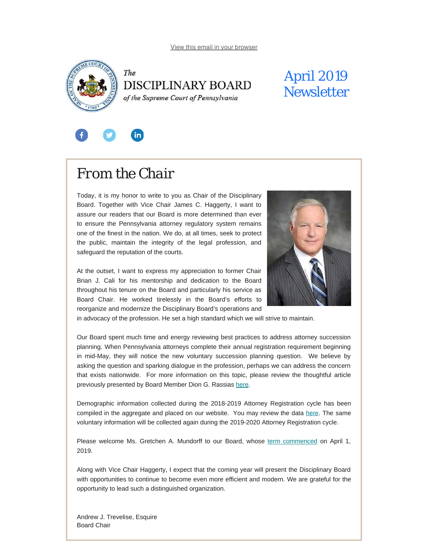<span id="page-0-0"></span>



## April 2019 **Newsletter**



# *From the Chair*

Today, it is my honor to write to you as Chair of the Disciplinary Board. Together with Vice Chair James C. Haggerty, I want to assure our readers that our Board is more determined than ever to ensure the Pennsylvania attorney regulatory system remains one of the finest in the nation. We do, at all times, seek to protect the public, maintain the integrity of the legal profession, and safeguard the reputation of the courts.

At the outset, I want to express my appreciation to former Chair Brian J. Cali for his mentorship and dedication to the Board throughout his tenure on the Board and particularly his service as Board Chair. He worked tirelessly in the Board's efforts to reorganize and modernize the Disciplinary Board's operations and



in advocacy of the profession. He set a high standard which we will strive to maintain.

Our Board spent much time and energy reviewing best practices to address attorney succession planning. When Pennsylvania attorneys complete their annual registration requirement beginning in mid-May, they will notice the new voluntary succession planning question. We believe by asking the question and sparking dialogue in the profession, perhaps we can address the concern that exists nationwide. For more information on this topic, please review the thoughtful article previously presented by Board Member Dion G. Rassias [here](https://www.padisciplinaryboard.org/news-media/news-article/68/succession-planning---is-it-mandatory-for-lawyers-in-pennsylvania).

Demographic information collected during the 2018-2019 Attorney Registration cycle has been compiled in the aggregate and placed on our website. You may review the data [here](https://www.padisciplinaryboard.org/Storage/media/pdfs/20190325/125433-diversitydatapublicrelease-2019.03.25.pdf). The same voluntary information will be collected again during the 2019-2020 Attorney Registration cycle.

Please welcome Ms. Gretchen A. Mundorff to our Board, whose [term commenced](https://www.padisciplinaryboard.org/news-media/news-article/1079/fayette-county-attorney-gretchen-a-mundorff-named-member-of-pa-disciplinary-board) on April 1, 2019.

Along with Vice Chair Haggerty, I expect that the coming year will present the Disciplinary Board with opportunities to continue to become even more efficient and modern. We are grateful for the opportunity to lead such a distinguished organization.

Andrew J. Trevelise, Esquire Board Chair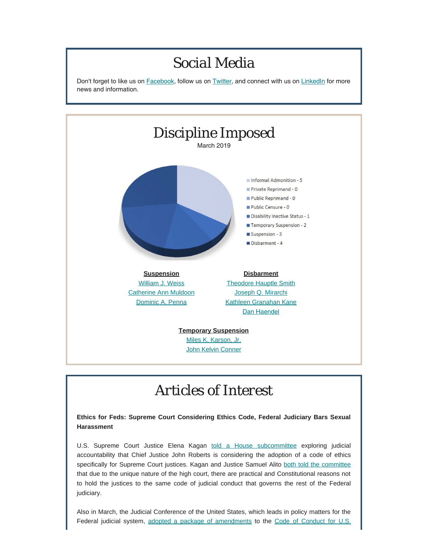### *Social Media* Don't forget to like us on [Facebook](https://www.facebook.com/DBoardPA), follow us on [Twitter](https://twitter.com/DBoardPa), and connect with us on [LinkedIn](https://www.linkedin.com/company/pennsylvania-disciplinary-board/) for more news and information. *Discipline Imposed* March 2019 Informal Admonition - 5 Private Reprimand - 0 Public Reprimand - 0 Public Censure - 0 Disability Inactive Status - 1 Temporary Suspension - 2 Suspension - 3 Disbarment - 4 **Suspension Disbarment** [William J. Weiss](http://www.pacourts.us/assets/opinions/DisciplinaryBoard/out/161DB2018-Weiss.pdf) [Theodore Hauptle Smith](http://www.pacourts.us/assets/opinions/DisciplinaryBoard/out/SmithDisbarOrder.pdf) [Joseph Q. Mirarchi](http://www.pacourts.us/assets/opinions/DisciplinaryBoard/out/56DB2016-Mirarchi.pdf) [Catherine Ann Muldoon](http://www.pacourts.us/assets/opinions/DisciplinaryBoard/out/33DB2019-Muldoon.pdf) [Dominic A. Penna](http://www.pacourts.us/assets/opinions/DisciplinaryBoard/out/56DB2018-Penna.pdf) [Kathleen Granahan Kane](http://www.pacourts.us/assets/opinions/DisciplinaryBoard/out/17DB2019-Kane.pdf) [Dan Haendel](http://www.pacourts.us/assets/opinions/DisciplinaryBoard/out/HaendelOrder.pdf) **Temporary Suspension** [Miles K. Karson, Jr.](http://www.pacourts.us/assets/opinions/DisciplinaryBoard/out/Karson Order.pdf) [John Kelvin Conner](http://www.pacourts.us/assets/opinions/DisciplinaryBoard/out/ConnerOrder.pdf)

## *Articles of Interest*

**Ethics for Feds: Supreme Court Considering Ethics Code, Federal Judiciary Bars Sexual Harassment**

U.S. Supreme Court Justice Elena Kagan [told a House subcommittee](http://www.abajournal.com/news/article/chief-justice-is-considering-idea-of-ethics-code-for-supreme-court-kagan-reveals) exploring judicial accountability that Chief Justice John Roberts is considering the adoption of a code of ethics specifically for Supreme Court justices. Kagan and Justice Samuel Alito [both told the committee](https://www.washingtonpost.com/politics/courts_law/supreme-court-justices-tell-congress-they-are-not-considering-televising-hearings/2019/03/07/5fb28684-4116-11e9-9361-301ffb5bd5e6_story.html?utm_term=.e5218dab43ec) that due to the unique nature of the high court, there are practical and Constitutional reasons not to hold the justices to the same code of judicial conduct that governs the rest of the Federal judiciary.

Also in March, the Judicial Conference of the United States, which leads in policy matters for the Federal judicial system, [adopted a package of amendments](https://www.uscourts.gov/news/2019/03/12/judicial-conference-approves-package-workplace-conduct-reforms) to the [Code of Conduct for U.S.](https://www.uscourts.gov/sites/default/files/code_of_conduct_for_united_states_judges_effective_march_12_2019.pdf)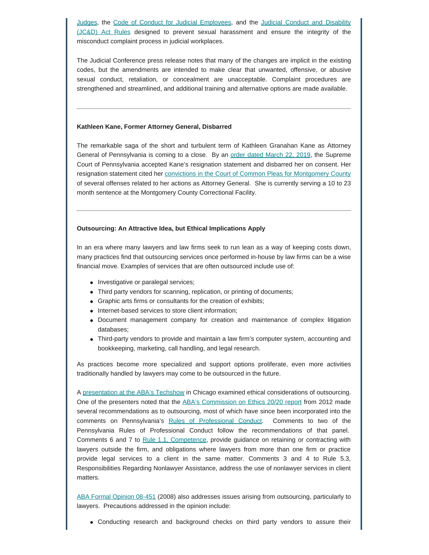[Judges,](https://www.uscourts.gov/sites/default/files/code_of_conduct_for_united_states_judges_effective_march_12_2019.pdf) the [Code of Conduct for Judicial Employees](https://www.uscourts.gov/file/document/code-conduct-judicial-employees-effective-march-12-2019), and the [Judicial Conduct and Disability](https://www.uscourts.gov/file/document/judicial-conduct-and-disability-rules-effective-march-12-2019) [\(JC&D\) Act Rules](https://www.uscourts.gov/file/document/judicial-conduct-and-disability-rules-effective-march-12-2019) designed to prevent sexual harassment and ensure the integrity of the misconduct complaint process in judicial workplaces.

The Judicial Conference press release notes that many of the changes are implicit in the existing codes, but the amendments are intended to make clear that unwanted, offensive, or abusive sexual conduct, retaliation, or concealment are unacceptable. Complaint procedures are strengthened and streamlined, and additional training and alternative options are made available.

#### **Kathleen Kane, Former Attorney General, Disbarred**

The remarkable saga of the short and turbulent term of Kathleen Granahan Kane as Attorney General of Pennsylvania is coming to a close. By an [order dated March 22, 2019](http://www.pacourts.us/assets/opinions/DisciplinaryBoard/out/17DB2019-Kane.pdf), the Supreme Court of Pennsylvania accepted Kane's resignation statement and disbarred her on consent. Her resignation statement cited her [convictions in the Court of Common Pleas for Montgomery County](https://www.montcopa.org/2266/Commonwealth-v-Kathleen-Granahan-Kane) of several offenses related to her actions as Attorney General. She is currently serving a 10 to 23 month sentence at the Montgomery County Correctional Facility.

#### **Outsourcing: An Attractive Idea, but Ethical Implications Apply**

In an era where many lawyers and law firms seek to run lean as a way of keeping costs down, many practices find that outsourcing services once performed in-house by law firms can be a wise financial move. Examples of services that are often outsourced include use of:

- Investigative or paralegal services;
- Third party vendors for scanning, replication, or printing of documents;
- Graphic arts firms or consultants for the creation of exhibits;
- Internet-based services to store client information;
- Document management company for creation and maintenance of complex litigation databases;
- Third-party vendors to provide and maintain a law firm's computer system, accounting and bookkeeping, marketing, call handling, and legal research.

As practices become more specialized and support options proliferate, even more activities traditionally handled by lawyers may come to be outsourced in the future.

A [presentation at the ABA's Techshow](http://www.abajournal.com/news/article/outsourcing-is-a-smart-business-practice-but-brings-ethical-considerations) in Chicago examined ethical considerations of outsourcing. One of the presenters noted that the [ABA's Commission on Ethics 20/20 report](https://www.americanbar.org/content/dam/aba/administrative/ethics_2020/20110919_ethics_20_20_outsourcing_revised_resolution_and_report_posting.pdf) from 2012 made several recommendations as to outsourcing, most of which have since been incorporated into the comments on Pennsylvania's [Rules of Professional Conduct](https://www.padisciplinaryboard.org/for-attorneys/rules/rule/3/the-rules-of-professional-conduct). Comments to two of the Pennsylvania Rules of Professional Conduct follow the recommendations of that panel. Comments 6 and 7 to [Rule 1.1, Competence,](https://www.padisciplinaryboard.org/for-attorneys/rules/rule/3/the-rules-of-professional-conduct#rule-6) provide guidance on retaining or contracting with lawyers outside the firm, and obligations where lawyers from more than one firm or practice provide legal services to a client in the same matter. Comments 3 and 4 to Rule 5.3, Responsibilities Regarding Nonlawyer Assistance, address the use of nonlawyer services in client matters.

[ABA Formal Opinion 08-451](https://www.americanbar.org/content/dam/aba/migrated/ethics2020/pdfs/ethicsopinion08451.authcheckdam.pdf) (2008) also addresses issues arising from outsourcing, particularly to lawyers. Precautions addressed in the opinion include:

Conducting research and background checks on third party vendors to assure their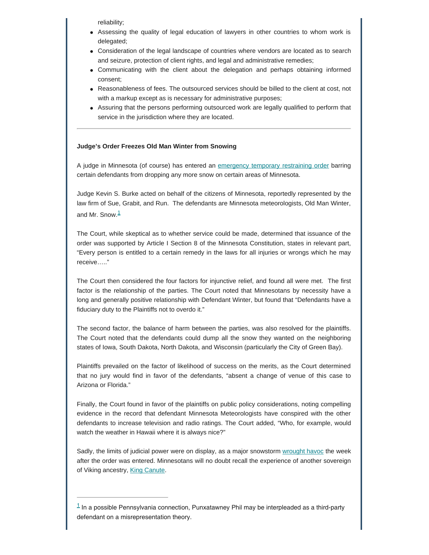reliability;

- Assessing the quality of legal education of lawyers in other countries to whom work is delegated;
- Consideration of the legal landscape of countries where vendors are located as to search and seizure, protection of client rights, and legal and administrative remedies;
- Communicating with the client about the delegation and perhaps obtaining informed consent;
- Reasonableness of fees. The outsourced services should be billed to the client at cost, not with a markup except as is necessary for administrative purposes;
- Assuring that the persons performing outsourced work are legally qualified to perform that service in the jurisdiction where they are located.

#### **Judge's Order Freezes Old Man Winter from Snowing**

A judge in Minnesota (of course) has entered an [emergency temporary restraining order](https://cbsminnesota.files.wordpress.com/2019/03/mn-v.-mn-meteorologists-et-al.-order-to-enjoin-002.pdf) barring certain defendants from dropping any more snow on certain areas of Minnesota.

<span id="page-3-1"></span>Judge Kevin S. Burke acted on behalf of the citizens of Minnesota, reportedly represented by the law firm of Sue, Grabit, and Run. The defendants are Minnesota meteorologists, Old Man Winter, and Mr. Snow. $<sup>1</sup>$  $<sup>1</sup>$  $<sup>1</sup>$ </sup>

The Court, while skeptical as to whether service could be made, determined that issuance of the order was supported by Article I Section 8 of the Minnesota Constitution, states in relevant part, "Every person is entitled to a certain remedy in the laws for all injuries or wrongs which he may receive….."

The Court then considered the four factors for injunctive relief, and found all were met. The first factor is the relationship of the parties. The Court noted that Minnesotans by necessity have a long and generally positive relationship with Defendant Winter, but found that "Defendants have a fiduciary duty to the Plaintiffs not to overdo it."

The second factor, the balance of harm between the parties, was also resolved for the plaintiffs. The Court noted that the defendants could dump all the snow they wanted on the neighboring states of Iowa, South Dakota, North Dakota, and Wisconsin (particularly the City of Green Bay).

Plaintiffs prevailed on the factor of likelihood of success on the merits, as the Court determined that no jury would find in favor of the defendants, "absent a change of venue of this case to Arizona or Florida."

Finally, the Court found in favor of the plaintiffs on public policy considerations, noting compelling evidence in the record that defendant Minnesota Meteorologists have conspired with the other defendants to increase television and radio ratings. The Court added, "Who, for example, would watch the weather in Hawaii where it is always nice?"

Sadly, the limits of judicial power were on display, as a major snowstorm [wrought havoc](https://www.mprnews.org/story/2019/03/09/minnesota-winter-storm-heavy-snow-freezing-rain) the week after the order was entered. Minnesotans will no doubt recall the experience of another sovereign of Viking ancestry, [King Canute.](http://www.viking.no/the-viking-kings-and-earls/canute-knud-the-great/)

<span id="page-3-0"></span> $1$  In a possible Pennsylvania connection, Punxatawney Phil may be interpleaded as a third-party defendant on a misrepresentation theory.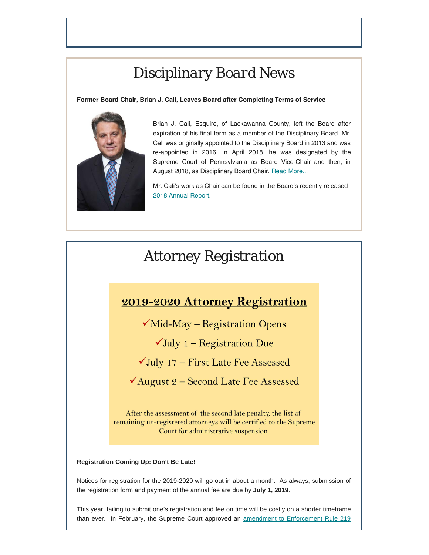### *Disciplinary Board News*

#### **Former Board Chair, Brian J. Cali, Leaves Board after Completing Terms of Service**



Brian J. Cali, Esquire, of Lackawanna County, left the Board after expiration of his final term as a member of the Disciplinary Board. Mr. Cali was originally appointed to the Disciplinary Board in 2013 and was re-appointed in 2016. In April 2018, he was designated by the Supreme Court of Pennsylvania as Board Vice-Chair and then, in August 2018, as Disciplinary Board Chair. [Read More...](https://www.padisciplinaryboard.org/news-media/news-article/1087/former-board-chair-brian-j-cali-leaves-board-after-completing-terms-of-service)

Mr. Cali's work as Chair can be found in the Board's recently released [2018 Annual Report.](https://www.padisciplinaryboard.org/Storage/media/pdfs/20190328/152721-2018annualreport.pdf)

### *Attorney Registration*

### 2019-2020 Attorney Registration

 $\sqrt{\text{Mid-May}}$  – Registration Opens

 $\checkmark$  July 1 – Registration Due

 $\checkmark$  July 17 – First Late Fee Assessed

 $\checkmark$ August 2 – Second Late Fee Assessed

After the assessment of the second late penalty, the list of remaining un-registered attorneys will be certified to the Supreme Court for administrative suspension.

### **Registration Coming Up: Don't Be Late!**

Notices for registration for the 2019-2020 will go out in about a month. As always, submission of the registration form and payment of the annual fee are due by **July 1, 2019**.

This year, failing to submit one's registration and fee on time will be costly on a shorter timeframe than ever. In February, the Supreme Court approved an [amendment to Enforcement Rule 219](https://www.pabulletin.com/secure/data/vol49/49-10/315.html)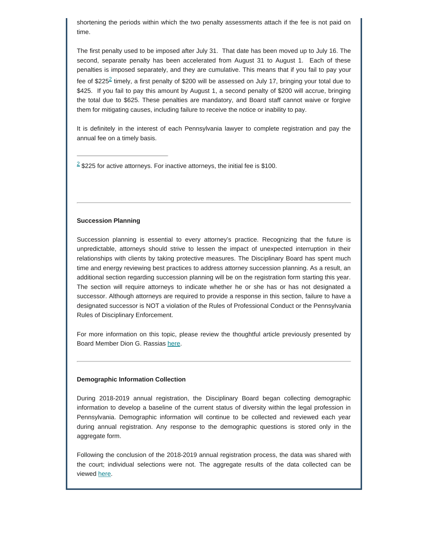shortening the periods within which the two penalty assessments attach if the fee is not paid on time.

<span id="page-5-1"></span>The first penalty used to be imposed after July 31. That date has been moved up to July 16. The second, separate penalty has been accelerated from August 31 to August 1. Each of these penalties is imposed separately, and they are cumulative. This means that if you fail to pay your fee of \$[2](#page-5-0)25<sup>2</sup> timely, a first penalty of \$200 will be assessed on July 17, bringing your total due to \$425. If you fail to pay this amount by August 1, a second penalty of \$200 will accrue, bringing the total due to \$625. These penalties are mandatory, and Board staff cannot waive or forgive them for mitigating causes, including failure to receive the notice or inability to pay.

It is definitely in the interest of each Pennsylvania lawyer to complete registration and pay the annual fee on a timely basis.

<span id="page-5-0"></span> $2$  \$225 for active attorneys. For inactive attorneys, the initial fee is \$100.

#### **Succession Planning**

Succession planning is essential to every attorney's practice. Recognizing that the future is unpredictable, attorneys should strive to lessen the impact of unexpected interruption in their relationships with clients by taking protective measures. The Disciplinary Board has spent much time and energy reviewing best practices to address attorney succession planning. As a result, an additional section regarding succession planning will be on the registration form starting this year. The section will require attorneys to indicate whether he or she has or has not designated a successor. Although attorneys are required to provide a response in this section, failure to have a designated successor is NOT a violation of the Rules of Professional Conduct or the Pennsylvania Rules of Disciplinary Enforcement.

For more information on this topic, please review the thoughtful article previously presented by Board Member Dion G. Rassias [here](https://www.padisciplinaryboard.org/news-media/news-article/68/succession-planning---is-it-mandatory-for-lawyers-in-pennsylvania).

#### **Demographic Information Collection**

During 2018-2019 annual registration, the Disciplinary Board began collecting demographic information to develop a baseline of the current status of diversity within the legal profession in Pennsylvania. Demographic information will continue to be collected and reviewed each year during annual registration. Any response to the demographic questions is stored only in the aggregate form.

Following the conclusion of the 2018-2019 annual registration process, the data was shared with the court; individual selections were not. The aggregate results of the data collected can be viewed [here](https://www.padisciplinaryboard.org/Storage/media/pdfs/20190325/125433-diversitydatapublicrelease-2019.03.25.pdf).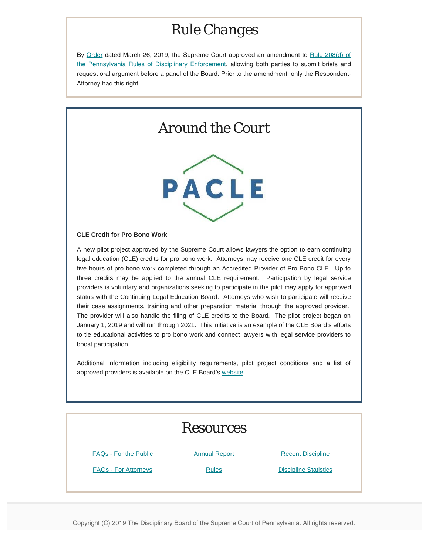### *Rule Changes*

By Order dated March 26, 2019, the Supreme Court approved an amendment to Rule 208(d) of the Pennsylvania Rules of Disciplinary Enforcement, allowing both parties to submit briefs and request oral argument before a panel of the Board. Prior to the amendment, only the Respondent-Attorney had this right.

### *Around the Court*



#### **CLE Credit for Pro Bono Work**

A new pilot project approved by the Supreme Court allows lawyers the option to earn continuing legal education (CLE) credits for pro bono work. Attorneys may receive one CLE credit for every five hours of pro bono work completed through an Accredited Provider of Pro Bono CLE. Up to three credits may be applied to the annual CLE requirement. Participation by legal service providers is voluntary and organizations seeking to participate in the pilot may apply for approved status with the Continuing Legal Education Board. Attorneys who wish to participate will receive their case assignments, training and other preparation material through the approved provider. The provider will also handle the filing of CLE credits to the Board. The pilot project began on January 1, 2019 and will run through 2021. This initiative is an example of the CLE Board's efforts to tie educational activities to pro bono work and connect lawyers with legal service providers to boost participation.

Additional information including eligibility requirements, pilot project conditions and a list of approved providers is available on the CLE Board's [website](https://www.pacle.org/providers/pro-bono).

# *Resources* [FAQs - For the Public](https://www.padisciplinaryboard.org/for-the-public/resources) **[Annual Report](https://www.padisciplinaryboard.org/about/reports)** [Recent Discipline](https://www.padisciplinaryboard.org/for-the-public/search-recent-discipline) [FAQs - For Attorneys](https://www.padisciplinaryboard.org/for-attorneys/resources) **[Rules](https://www.padisciplinaryboard.org/for-attorneys/rules)** Rules **[Discipline Statistics](https://www.padisciplinaryboard.org/Storage/media/pdfs/20180326/173921-disciplinestatistics-2017.pdf)**